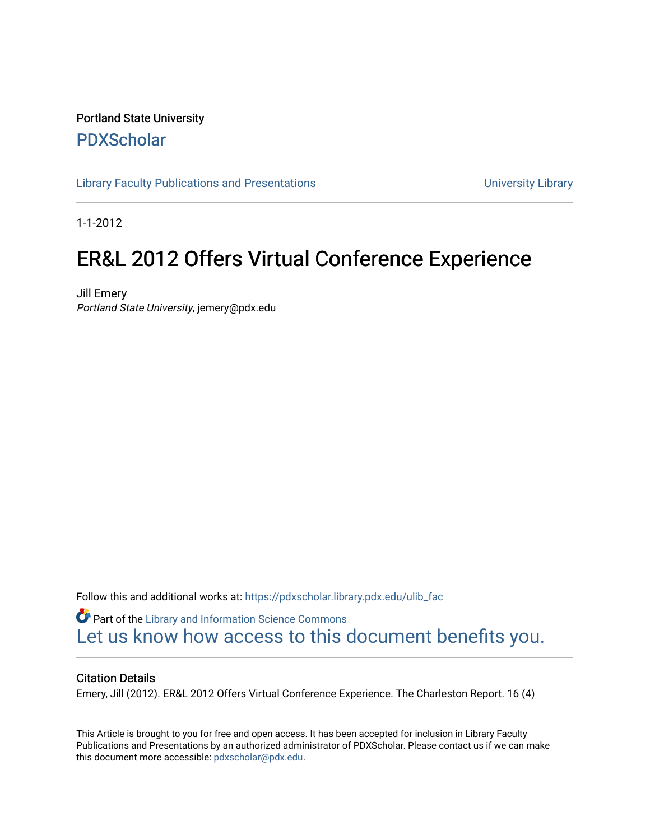#### Portland State University [PDXScholar](https://pdxscholar.library.pdx.edu/)

[Library Faculty Publications and Presentations](https://pdxscholar.library.pdx.edu/ulib_fac) **Exercise 20 and Exercise 20 and Presentations** University Library

1-1-2012

# ER&L 2012 Offers Virtual Conference Experience

Jill Emery Portland State University, jemery@pdx.edu

Follow this and additional works at: [https://pdxscholar.library.pdx.edu/ulib\\_fac](https://pdxscholar.library.pdx.edu/ulib_fac?utm_source=pdxscholar.library.pdx.edu%2Fulib_fac%2F11&utm_medium=PDF&utm_campaign=PDFCoverPages) 

Part of the [Library and Information Science Commons](http://network.bepress.com/hgg/discipline/1018?utm_source=pdxscholar.library.pdx.edu%2Fulib_fac%2F11&utm_medium=PDF&utm_campaign=PDFCoverPages)  [Let us know how access to this document benefits you.](http://library.pdx.edu/services/pdxscholar-services/pdxscholar-feedback/?ref=https://pdxscholar.library.pdx.edu/ulib_fac/11) 

#### Citation Details

Emery, Jill (2012). ER&L 2012 Offers Virtual Conference Experience. The Charleston Report. 16 (4)

This Article is brought to you for free and open access. It has been accepted for inclusion in Library Faculty Publications and Presentations by an authorized administrator of PDXScholar. Please contact us if we can make this document more accessible: [pdxscholar@pdx.edu.](mailto:pdxscholar@pdx.edu)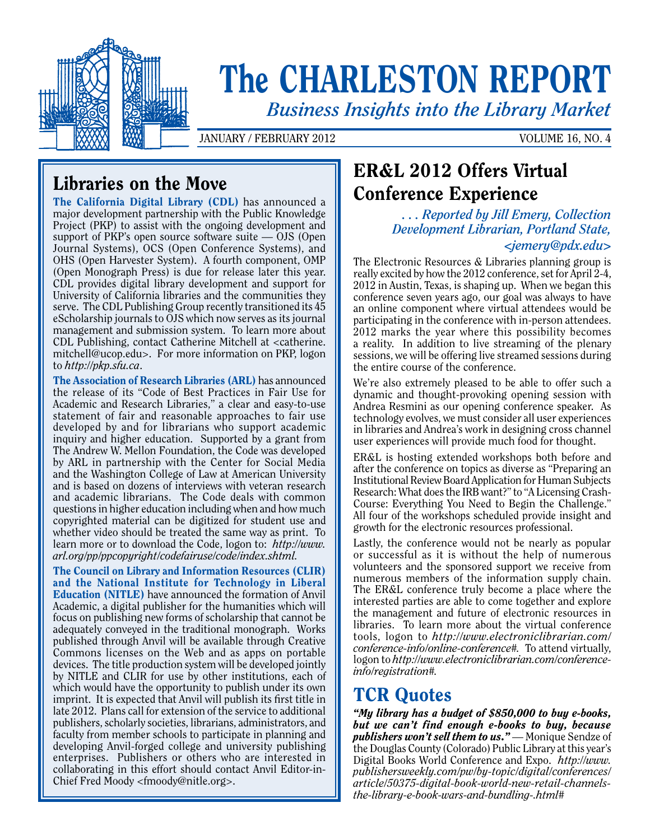

# The CHARLESTON REPORT

*Business Insights into the Library Market*

JANUARY / FEBRUARY 2012 VOLUME 16, NO. 4

# Libraries on the Move

The California Digital Library (CDL) has announced a major development partnership with the Public Knowledge Project (PKP) to assist with the ongoing development and support of PKP's open source software suite — OJS (Open Journal Systems), OCS (Open Conference Systems), and OHS (Open Harvester System). A fourth component, OMP (Open Monograph Press) is due for release later this year. CDL provides digital library development and support for University of California libraries and the communities they serve. The CDL Publishing Group recently transitioned its 45 eScholarship journals to OJS which now serves as its journal management and submission system. To learn more about CDL Publishing, contact Catherine Mitchell at <catherine. mitchell@ucop.edu>. For more information on PKP, logon to *http://pkp.sfu.ca*.

The Association of Research Libraries (ARL) has announced the release of its "Code of Best Practices in Fair Use for Academic and Research Libraries," a clear and easy-to-use statement of fair and reasonable approaches to fair use developed by and for librarians who support academic inquiry and higher education. Supported by a grant from The Andrew W. Mellon Foundation, the Code was developed by ARL in partnership with the Center for Social Media and the Washington College of Law at American University and is based on dozens of interviews with veteran research and academic librarians. The Code deals with common questions in higher education including when and how much copyrighted material can be digitized for student use and whether video should be treated the same way as print. To learn more or to download the Code, logon to: *http://www. arl.org/pp/ppcopyright/codefairuse/code/index.shtml.*

The Council on Library and Information Resources (CLIR) and the National Institute for Technology in Liberal Education (NITLE) have announced the formation of Anvil Academic, a digital publisher for the humanities which will focus on publishing new forms of scholarship that cannot be adequately conveyed in the traditional monograph. Works published through Anvil will be available through Creative Commons licenses on the Web and as apps on portable devices. The title production system will be developed jointly by NITLE and CLIR for use by other institutions, each of which would have the opportunity to publish under its own imprint. It is expected that Anvil will publish its first title in late 2012. Plans call for extension of the service to additional publishers, scholarly societies, librarians, administrators, and faculty from member schools to participate in planning and developing Anvil-forged college and university publishing enterprises. Publishers or others who are interested in collaborating in this effort should contact Anvil Editor-in-Chief Fred Moody <fmoody@nitle.org>.

# ER&L 2012 Offers Virtual Conference Experience

*. . . Reported by Jill Emery, Collection Development Librarian, Portland State, <jemery@pdx.edu>*

The Electronic Resources & Libraries planning group is really excited by how the 2012 conference, set for April 2-4, 2012 in Austin, Texas, is shaping up. When we began this conference seven years ago, our goal was always to have an online component where virtual attendees would be participating in the conference with in-person attendees. 2012 marks the year where this possibility becomes a reality. In addition to live streaming of the plenary sessions, we will be offering live streamed sessions during the entire course of the conference.

We're also extremely pleased to be able to offer such a dynamic and thought-provoking opening session with Andrea Resmini as our opening conference speaker. As technology evolves, we must consider all user experiences in libraries and Andrea's work in designing cross channel user experiences will provide much food for thought.

ER&L is hosting extended workshops both before and after the conference on topics as diverse as "Preparing an Institutional Review Board Application for Human Subjects Research: What does the IRB want?" to "A Licensing Crash-Course: Everything You Need to Begin the Challenge." All four of the workshops scheduled provide insight and growth for the electronic resources professional.

Lastly, the conference would not be nearly as popular or successful as it is without the help of numerous volunteers and the sponsored support we receive from numerous members of the information supply chain. The ER&L conference truly become a place where the interested parties are able to come together and explore the management and future of electronic resources in libraries. To learn more about the virtual conference tools, logon to *http://www.electroniclibrarian.com/ conference-info/online-conference#.* To attend virtually, logon to *http://www.electroniclibrarian.com/conferenceinfo/registration#.*

#### TCR Quotes

*"My library has a budget of \$850,000 to buy e-books, but we can't find enough e-books to buy, because publishers won't sell them to us."* — Monique Sendze of the Douglas County (Colorado) Public Library at this year's Digital Books World Conference and Expo. *http://www. publishersweekly.com/pw/by-topic/digital/conferences/ article/50375-digital-book-world-new-retail-channelsthe-library-e-book-wars-and-bundling-.html#*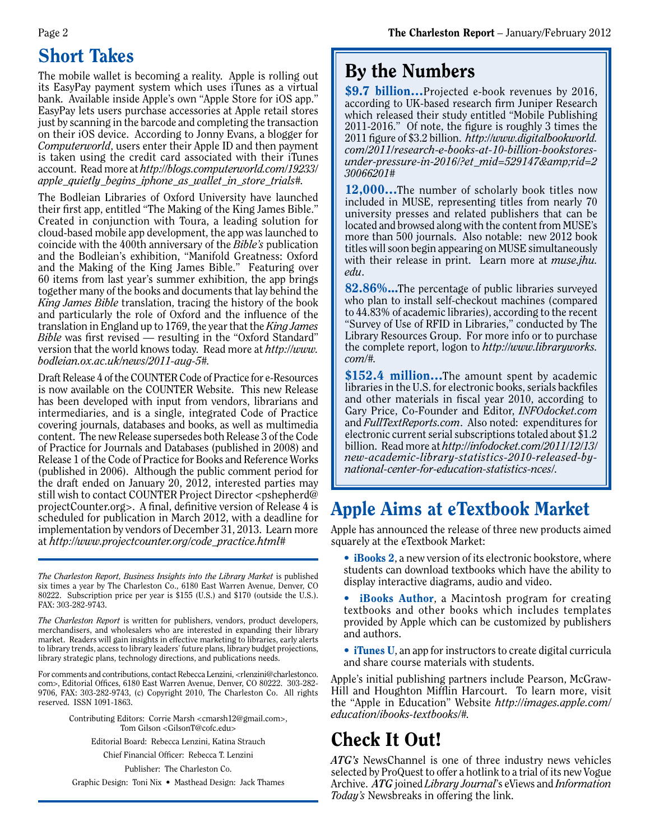## Short Takes

The mobile wallet is becoming a reality. Apple is rolling out its EasyPay payment system which uses iTunes as a virtual bank. Available inside Apple's own "Apple Store for iOS app." EasyPay lets users purchase accessories at Apple retail stores just by scanning in the barcode and completing the transaction on their iOS device. According to Jonny Evans, a blogger for *Computerworld*, users enter their Apple ID and then payment is taken using the credit card associated with their iTunes account. Read more at *http://blogs.computerworld.com/19233/ apple\_quietly\_begins\_iphone\_as\_wallet\_in\_store\_trials#.*

The Bodleian Libraries of Oxford University have launched their first app, entitled "The Making of the King James Bible." Created in conjunction with Toura, a leading solution for cloud-based mobile app development, the app was launched to coincide with the 400th anniversary of the *Bible's* publication and the Bodleian's exhibition, "Manifold Greatness: Oxford and the Making of the King James Bible." Featuring over 60 items from last year's summer exhibition, the app brings together many of the books and documents that lay behind the *King James Bible* translation, tracing the history of the book and particularly the role of Oxford and the influence of the translation in England up to 1769, the year that the *King James Bible* was first revised — resulting in the "Oxford Standard" version that the world knows today. Read more at *http://www. bodleian.ox.ac.uk/news/2011-aug-5#.*

Draft Release 4 of the COUNTER Code of Practice for e-Resources is now available on the COUNTER Website. This new Release has been developed with input from vendors, librarians and intermediaries, and is a single, integrated Code of Practice covering journals, databases and books, as well as multimedia content. The new Release supersedes both Release 3 of the Code of Practice for Journals and Databases (published in 2008) and Release 1 of the Code of Practice for Books and Reference Works (published in 2006). Although the public comment period for the draft ended on January 20, 2012, interested parties may still wish to contact COUNTER Project Director <pshepherd@ projectCounter.org>. A final, definitive version of Release 4 is scheduled for publication in March 2012, with a deadline for implementation by vendors of December 31, 2013. Learn more at *http://www.projectcounter.org/code\_practice.html#*

*The Charleston Report, Business Insights into the Library Market* is published six times a year by The Charleston Co., 6180 East Warren Avenue, Denver, CO 80222. Subscription price per year is \$155 (U.S.) and \$170 (outside the U.S.). FAX: 303-282-9743.

*The Charleston Report* is written for publishers, vendors, product developers, merchandisers, and wholesalers who are interested in expanding their library market. Readers will gain insights in effective marketing to libraries, early alerts to library trends, access to library leaders' future plans, library budget projections, library strategic plans, technology directions, and publications needs.

For comments and contributions, contact Rebecca Lenzini, <rlenzini@charlestonco. com>, Editorial Offices, 6180 East Warren Avenue, Denver, CO 80222. 303-282- 9706, FAX: 303-282-9743, (c) Copyright 2010, The Charleston Co. All rights reserved. ISSN 1091-1863.

> Contributing Editors: Corrie Marsh <cmarsh12@gmail.com>, Tom Gilson <GilsonT@cofc.edu>

Editorial Board: Rebecca Lenzini, Katina Strauch

Chief Financial Officer: Rebecca T. Lenzini

Publisher: The Charleston Co.

Graphic Design: Toni Nix • Masthead Design: Jack Thames

#### By the Numbers

**\$9.7 billion...**Projected e-book revenues by 2016, according to UK-based research firm Juniper Research which released their study entitled "Mobile Publishing 2011-2016." Of note, the figure is roughly 3 times the 2011 figure of \$3.2 billion. *http://www.digitalbookworld. com/2011/research-e-books-at-10-billion-bookstoresunder-pressure-in-2016/?et\_mid=529147&rid=2 30066201#*

12,000...The number of scholarly book titles now included in MUSE, representing titles from nearly 70 university presses and related publishers that can be located and browsed along with the content from MUSE's more than 500 journals. Also notable: new 2012 book titles will soon begin appearing on MUSE simultaneously with their release in print. Learn more at *muse.jhu. edu*.

82.86%...The percentage of public libraries surveyed who plan to install self-checkout machines (compared to 44.83% of academic libraries), according to the recent "Survey of Use of RFID in Libraries," conducted by The Library Resources Group. For more info or to purchase the complete report, logon to *http://www.libraryworks. com/#.*

**\$152.4 million...**The amount spent by academic libraries in the U.S. for electronic books, serials backfiles and other materials in fiscal year 2010, according to Gary Price, Co-Founder and Editor, *INFOdocket.com* and *FullTextReports.com*. Also noted: expenditures for electronic current serial subscriptions totaled about \$1.2 billion. Read more at *http://infodocket.com/2011/12/13/ new-academic-library-statistics-2010-released-bynational-center-for-education-statistics-nces/.*

## Apple Aims at eTextbook Market

Apple has announced the release of three new products aimed squarely at the eTextbook Market:

- iBooks 2, a new version of its electronic bookstore, where students can download textbooks which have the ability to display interactive diagrams, audio and video.
- **iBooks Author**, a Macintosh program for creating textbooks and other books which includes templates provided by Apple which can be customized by publishers and authors.
- **iTunes U**, an app for instructors to create digital curricula and share course materials with students.

Apple's initial publishing partners include Pearson, McGraw-Hill and Houghton Mifflin Harcourt. To learn more, visit the "Apple in Education" Website *http://images.apple.com/ education/ibooks-textbooks/#.*

# Check It Out!

*ATG's* NewsChannel is one of three industry news vehicles selected by ProQuest to offer a hotlink to a trial of its new Vogue Archive. *ATG* joined *Library Journal*'s eViews and *Information Today's* Newsbreaks in offering the link.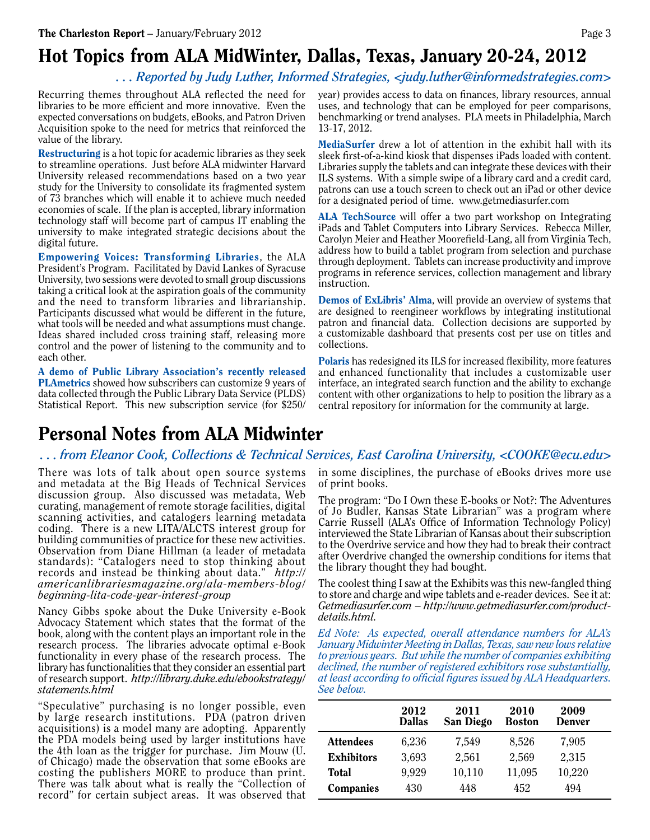## Hot Topics from ALA MidWinter, Dallas, Texas, January 20-24, 2012

#### *. . . Reported by Judy Luther, Informed Strategies, <judy.luther@informedstrategies.com>*

Recurring themes throughout ALA reflected the need for libraries to be more efficient and more innovative. Even the expected conversations on budgets, eBooks, and Patron Driven Acquisition spoke to the need for metrics that reinforced the value of the library.

Restructuring is a hot topic for academic libraries as they seek to streamline operations. Just before ALA midwinter Harvard University released recommendations based on a two year study for the University to consolidate its fragmented system of 73 branches which will enable it to achieve much needed economies of scale. If the plan is accepted, library information technology staff will become part of campus IT enabling the university to make integrated strategic decisions about the digital future.

Empowering Voices: Transforming Libraries, the ALA President's Program. Facilitated by David Lankes of Syracuse University, two sessions were devoted to small group discussions taking a critical look at the aspiration goals of the community and the need to transform libraries and librarianship. Participants discussed what would be different in the future, what tools will be needed and what assumptions must change. Ideas shared included cross training staff, releasing more control and the power of listening to the community and to each other.

A demo of Public Library Association's recently released PLAmetrics showed how subscribers can customize 9 years of data collected through the Public Library Data Service (PLDS) Statistical Report. This new subscription service (for \$250/ year) provides access to data on finances, library resources, annual uses, and technology that can be employed for peer comparisons, benchmarking or trend analyses. PLA meets in Philadelphia, March 13-17, 2012.

MediaSurfer drew a lot of attention in the exhibit hall with its sleek first-of-a-kind kiosk that dispenses iPads loaded with content. Libraries supply the tablets and can integrate these devices with their ILS systems. With a simple swipe of a library card and a credit card, patrons can use a touch screen to check out an iPad or other device for a designated period of time. www.getmediasurfer.com

ALA TechSource will offer a two part workshop on Integrating iPads and Tablet Computers into Library Services. Rebecca Miller, Carolyn Meier and Heather Moorefield-Lang, all from Virginia Tech, address how to build a tablet program from selection and purchase through deployment. Tablets can increase productivity and improve programs in reference services, collection management and library instruction.

Demos of ExLibris' Alma, will provide an overview of systems that are designed to reengineer workflows by integrating institutional patron and financial data. Collection decisions are supported by a customizable dashboard that presents cost per use on titles and collections.

Polaris has redesigned its ILS for increased flexibility, more features and enhanced functionality that includes a customizable user interface, an integrated search function and the ability to exchange content with other organizations to help to position the library as a central repository for information for the community at large.

#### Personal Notes from ALA Midwinter

#### *. . . from Eleanor Cook, Collections & Technical Services, East Carolina University, <COOKE@ecu.edu>*

There was lots of talk about open source systems and metadata at the Big Heads of Technical Services discussion group. Also discussed was metadata, Web curating, management of remote storage facilities, digital scanning activities, and catalogers learning metadata coding. There is a new LITA/ALCTS interest group for building communities of practice for these new activities. Observation from Diane Hillman (a leader of metadata standards): "Catalogers need to stop thinking about records and instead be thinking about data." *http:// americanlibrariesmagazine.org/ala-members-blog/ beginning-lita-code-year-interest-group*

Nancy Gibbs spoke about the Duke University e-Book Advocacy Statement which states that the format of the book, along with the content plays an important role in the research process. The libraries advocate optimal e-Book functionality in every phase of the research process. The library has functionalities that they consider an essential part of research support. *http://library.duke.edu/ebookstrategy/ statements.html*

"Speculative" purchasing is no longer possible, even by large research institutions. PDA (patron driven acquisitions) is a model many are adopting. Apparently the PDA models being used by larger institutions have the 4th loan as the trigger for purchase. Jim Mouw (U. of Chicago) made the observation that some eBooks are costing the publishers MORE to produce than print. There was talk about what is really the "Collection of record" for certain subject areas. It was observed that

in some disciplines, the purchase of eBooks drives more use of print books.

The program: "Do I Own these E-books or Not?: The Adventures of Jo Budler, Kansas State Librarian" was a program where Carrie Russell (ALA's Office of Information Technology Policy) interviewed the State Librarian of Kansas about their subscription to the Overdrive service and how they had to break their contract after Overdrive changed the ownership conditions for items that the library thought they had bought.

The coolest thing I saw at the Exhibits was this new-fangled thing to store and charge and wipe tablets and e-reader devices. See it at: *Getmediasurfer.com* – *http://www.getmediasurfer.com/productdetails.html.*

*Ed Note: As expected, overall attendance numbers for ALA's January Midwinter Meeting in Dallas, Texas, saw new lows relative to previous years. But while the number of companies exhibiting declined, the number of registered exhibitors rose substantially, at least according to official figures issued by ALA Headquarters. See below.*

|                   | 2012<br><b>Dallas</b> | 2011<br>San Diego | 2010<br><b>Boston</b> | 2009<br>Denver |
|-------------------|-----------------------|-------------------|-----------------------|----------------|
| <b>Attendees</b>  | 6,236                 | 7,549             | 8,526                 | 7,905          |
| <b>Exhibitors</b> | 3,693                 | 2,561             | 2,569                 | 2,315          |
| <b>Total</b>      | 9,929                 | 10,110            | 11,095                | 10,220         |
| <b>Companies</b>  | 430                   | 448               | 452                   | 494            |